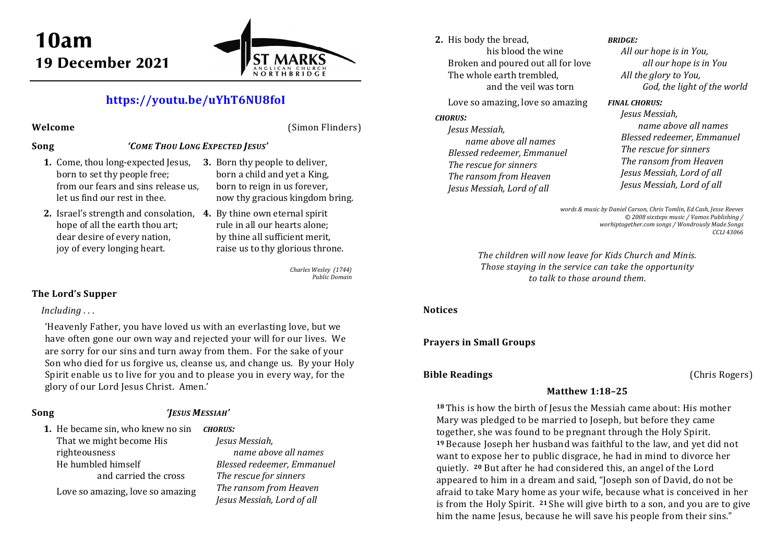

# **https://youtu.be/uYhT6NU8foI**

### **Welcome** (Simon Flinders)

### **Song** *'COME THOU LONG EXPECTED JESUS'*

- **1.** Come, thou long-expected Jesus, born to set thy people free; from our fears and sins release us, let us find our rest in thee.
- **2.** Israel's strength and consolation, **4.** By thine own eternal spirit hope of all the earth thou art; dear desire of every nation, joy of every longing heart.
- **3.** Born thy people to deliver, born a child and yet a King, born to reign in us forever, now thy gracious kingdom bring.
	- rule in all our hearts alone; by thine all sufficient merit, raise us to thy glorious throne.

*Charles Wesley (1744) Public Domain* 

## **The Lord's Supper**

## *Including . . .*

'Heavenly Father, you have loved us with an everlasting love, but we have often gone our own way and rejected your will for our lives. We are sorry for our sins and turn away from them. For the sake of your Son who died for us forgive us, cleanse us, and change us. By your Holy Spirit enable us to live for you and to please you in every way, for the glory of our Lord Jesus Christ. Amen.'

## **Song** *'JESUS MESSIAH'*

**1.** He became sin, who knew no sin *CHORUS:*That we might become His righteousness He humbled himself and carried the cross

Love so amazing, love so amazing

*Jesus Messiah, name above all names Blessed redeemer, Emmanuel The rescue for sinners The ransom from Heaven Jesus Messiah, Lord of all* 

**2.** His body the bread, his blood the wine Broken and poured out all for love The whole earth trembled, and the veil was torn

Love so amazing, love so amazing

#### *CHORUS:*

*Jesus Messiah, name above all names Blessed redeemer, Emmanuel The rescue for sinners The ransom from Heaven Jesus Messiah, Lord of all* 

#### *BRIDGE:*

*All our hope is in You, all our hope is in You All the glory to You, God, the light of the world* 

#### *FINAL CHORUS:*

*Jesus Messiah, name above all names Blessed redeemer, Emmanuel The rescue for sinners The ransom from Heaven Jesus Messiah, Lord of all Jesus Messiah, Lord of all* 

*words & music by Daniel Carson, Chris Tomlin, Ed Cash, Jesse Reeves © 2008 sixsteps music / Vamos Publishing / worhiptogether.com songs / Wondrously Made Songs CCLI 43066* 

*The children will now leave for Kids Church and Minis. Those staying in the service can take the opportunity to talk to those around them.* 

### **Notices**

## **Prayers in Small Groups**

## **Bible Readings** (Chris Rogers)

## **Matthew 1:18–25**

**18** This is how the birth of Jesus the Messiah came about: His mother Mary was pledged to be married to Joseph, but before they came together, she was found to be pregnant through the Holy Spirit. **19** Because Joseph her husband was faithful to the law, and yet did not want to expose her to public disgrace, he had in mind to divorce her quietly. **20** But after he had considered this, an angel of the Lord appeared to him in a dream and said, "Joseph son of David, do not be afraid to take Mary home as your wife, because what is conceived in her is from the Holy Spirit. **<sup>21</sup>** She will give birth to a son, and you are to give him the name Jesus, because he will save his people from their sins."